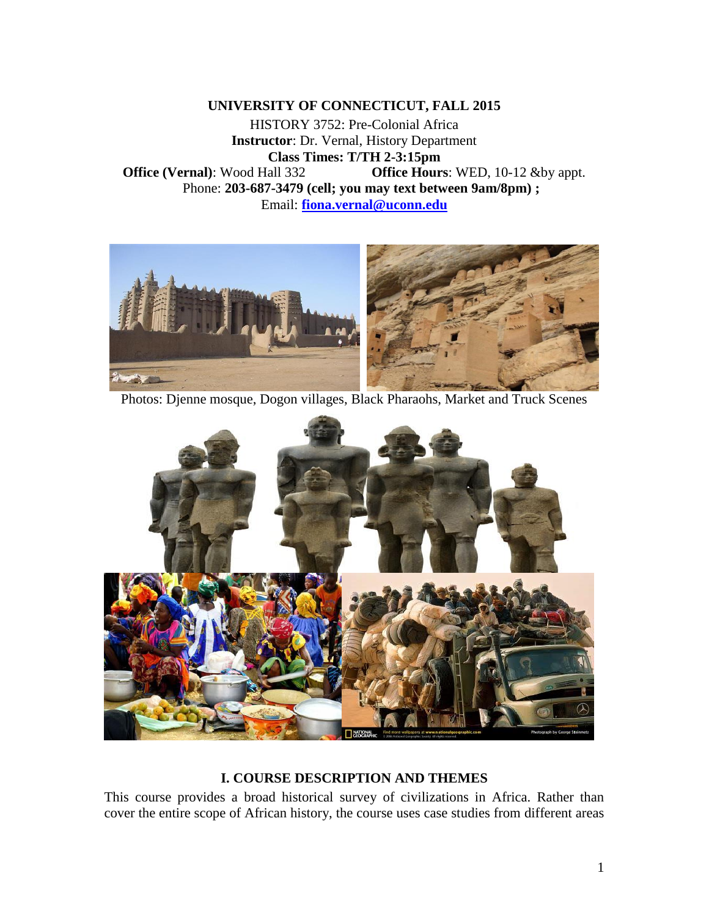**UNIVERSITY OF CONNECTICUT, FALL 2015** 

HISTORY 3752: Pre-Colonial Africa **Instructor**: Dr. Vernal, History Department **Class Times: T/TH 2-3:15pm Office (Vernal)**: Wood Hall 332 **Office Hours**: WED, 10-12 &by appt. Phone: **203-687-3479 (cell; you may text between 9am/8pm) ;**  Email: **[fiona.vernal@uconn.edu](mailto:fiona.vernal@uconn.edu)**



Photos: Djenne mosque, Dogon villages, Black Pharaohs, Market and Truck Scenes



# **I. COURSE DESCRIPTION AND THEMES**

This course provides a broad historical survey of civilizations in Africa. Rather than cover the entire scope of African history, the course uses case studies from different areas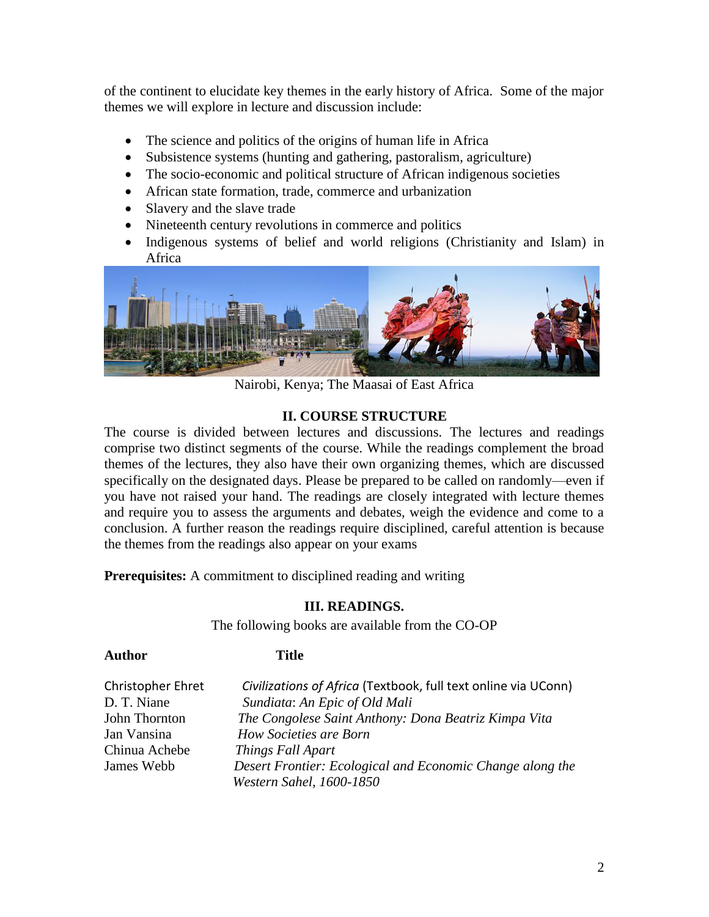of the continent to elucidate key themes in the early history of Africa. Some of the major themes we will explore in lecture and discussion include:

- The science and politics of the origins of human life in Africa
- Subsistence systems (hunting and gathering, pastoralism, agriculture)
- The socio-economic and political structure of African indigenous societies
- African state formation, trade, commerce and urbanization
- Slavery and the slave trade
- Nineteenth century revolutions in commerce and politics
- Indigenous systems of belief and world religions (Christianity and Islam) in Africa



Nairobi, Kenya; The Maasai of East Africa

## **II. COURSE STRUCTURE**

The course is divided between lectures and discussions. The lectures and readings comprise two distinct segments of the course. While the readings complement the broad themes of the lectures, they also have their own organizing themes, which are discussed specifically on the designated days. Please be prepared to be called on randomly—even if you have not raised your hand. The readings are closely integrated with lecture themes and require you to assess the arguments and debates, weigh the evidence and come to a conclusion. A further reason the readings require disciplined, careful attention is because the themes from the readings also appear on your exams

**Prerequisites:** A commitment to disciplined reading and writing

## **III. READINGS.**

The following books are available from the CO-OP

#### **Author Title**

| Christopher Ehret | Civilizations of Africa (Textbook, full text online via UConn) |
|-------------------|----------------------------------------------------------------|
| D. T. Niane       | Sundiata: An Epic of Old Mali                                  |
| John Thornton     | The Congolese Saint Anthony: Dona Beatriz Kimpa Vita           |
| Jan Vansina       | How Societies are Born                                         |
| Chinua Achebe     | Things Fall Apart                                              |
| James Webb        | Desert Frontier: Ecological and Economic Change along the      |
|                   | Western Sahel, 1600-1850                                       |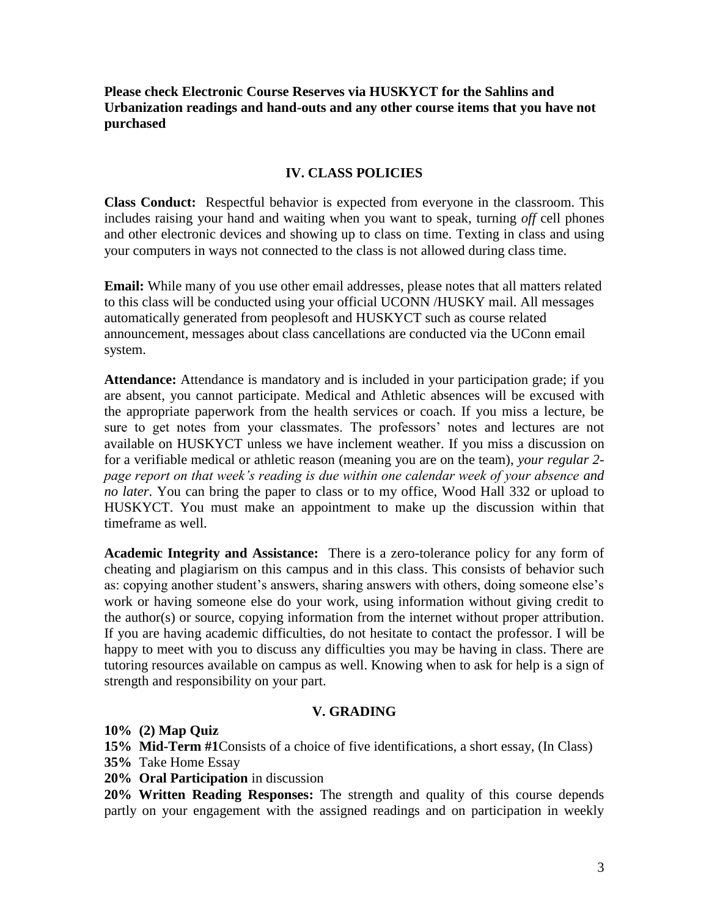**Please check Electronic Course Reserves via HUSKYCT for the Sahlins and Urbanization readings and hand-outs and any other course items that you have not purchased**

## **IV. CLASS POLICIES**

**Class Conduct:** Respectful behavior is expected from everyone in the classroom. This includes raising your hand and waiting when you want to speak, turning *off* cell phones and other electronic devices and showing up to class on time. Texting in class and using your computers in ways not connected to the class is not allowed during class time.

**Email:** While many of you use other email addresses, please notes that all matters related to this class will be conducted using your official UCONN /HUSKY mail. All messages automatically generated from peoplesoft and HUSKYCT such as course related announcement, messages about class cancellations are conducted via the UConn email system.

**Attendance:** Attendance is mandatory and is included in your participation grade; if you are absent, you cannot participate. Medical and Athletic absences will be excused with the appropriate paperwork from the health services or coach. If you miss a lecture, be sure to get notes from your classmates. The professors' notes and lectures are not available on HUSKYCT unless we have inclement weather. If you miss a discussion on for a verifiable medical or athletic reason (meaning you are on the team), *your regular 2 page report on that week's reading is due within one calendar week of your absence and no later*. You can bring the paper to class or to my office, Wood Hall 332 or upload to HUSKYCT. You must make an appointment to make up the discussion within that timeframe as well.

**Academic Integrity and Assistance:** There is a zero-tolerance policy for any form of cheating and plagiarism on this campus and in this class. This consists of behavior such as: copying another student's answers, sharing answers with others, doing someone else's work or having someone else do your work, using information without giving credit to the author(s) or source, copying information from the internet without proper attribution. If you are having academic difficulties, do not hesitate to contact the professor. I will be happy to meet with you to discuss any difficulties you may be having in class. There are tutoring resources available on campus as well. Knowing when to ask for help is a sign of strength and responsibility on your part.

## **V. GRADING**

**10% (2) Map Quiz**

**15% Mid-Term #1**Consists of a choice of five identifications, a short essay, (In Class)

- **35%** Take Home Essay
- **20% Oral Participation** in discussion

**20% Written Reading Responses:** The strength and quality of this course depends partly on your engagement with the assigned readings and on participation in weekly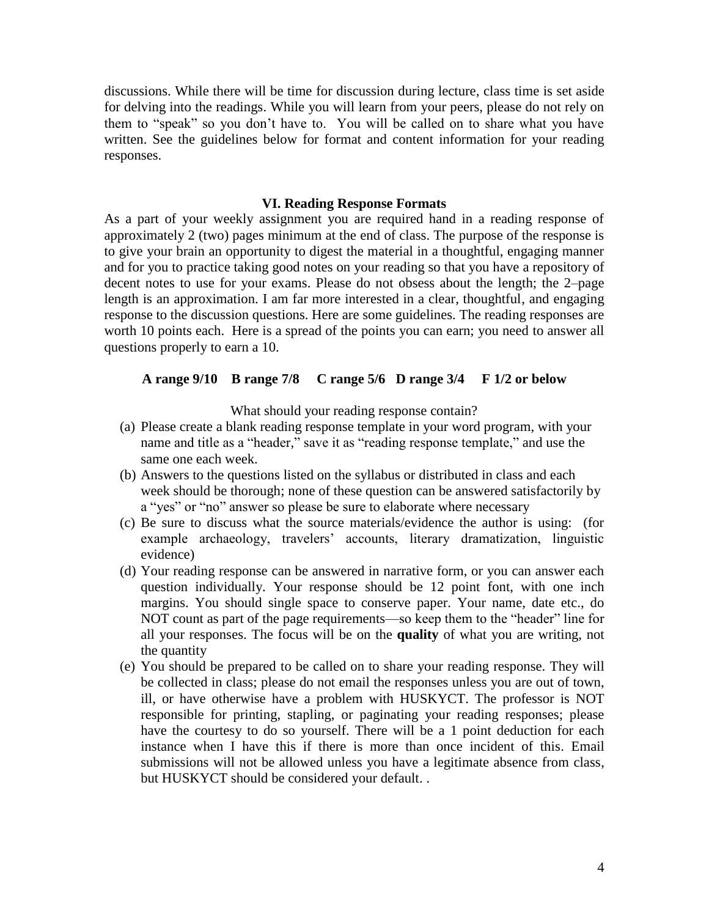discussions. While there will be time for discussion during lecture, class time is set aside for delving into the readings. While you will learn from your peers, please do not rely on them to "speak" so you don't have to. You will be called on to share what you have written. See the guidelines below for format and content information for your reading responses.

#### **VI. Reading Response Formats**

As a part of your weekly assignment you are required hand in a reading response of approximately 2 (two) pages minimum at the end of class. The purpose of the response is to give your brain an opportunity to digest the material in a thoughtful, engaging manner and for you to practice taking good notes on your reading so that you have a repository of decent notes to use for your exams. Please do not obsess about the length; the 2–page length is an approximation. I am far more interested in a clear, thoughtful, and engaging response to the discussion questions. Here are some guidelines. The reading responses are worth 10 points each. Here is a spread of the points you can earn; you need to answer all questions properly to earn a 10.

#### **A range 9/10 B range 7/8 C range 5/6 D range 3/4 F 1/2 or below**

What should your reading response contain?

- (a) Please create a blank reading response template in your word program, with your name and title as a "header," save it as "reading response template," and use the same one each week.
- (b) Answers to the questions listed on the syllabus or distributed in class and each week should be thorough; none of these question can be answered satisfactorily by a "yes" or "no" answer so please be sure to elaborate where necessary
- (c) Be sure to discuss what the source materials/evidence the author is using: (for example archaeology, travelers' accounts, literary dramatization, linguistic evidence)
- (d) Your reading response can be answered in narrative form, or you can answer each question individually. Your response should be 12 point font, with one inch margins. You should single space to conserve paper. Your name, date etc., do NOT count as part of the page requirements—so keep them to the "header" line for all your responses. The focus will be on the **quality** of what you are writing, not the quantity
- (e) You should be prepared to be called on to share your reading response. They will be collected in class; please do not email the responses unless you are out of town, ill, or have otherwise have a problem with HUSKYCT. The professor is NOT responsible for printing, stapling, or paginating your reading responses; please have the courtesy to do so yourself. There will be a 1 point deduction for each instance when I have this if there is more than once incident of this. Email submissions will not be allowed unless you have a legitimate absence from class, but HUSKYCT should be considered your default. .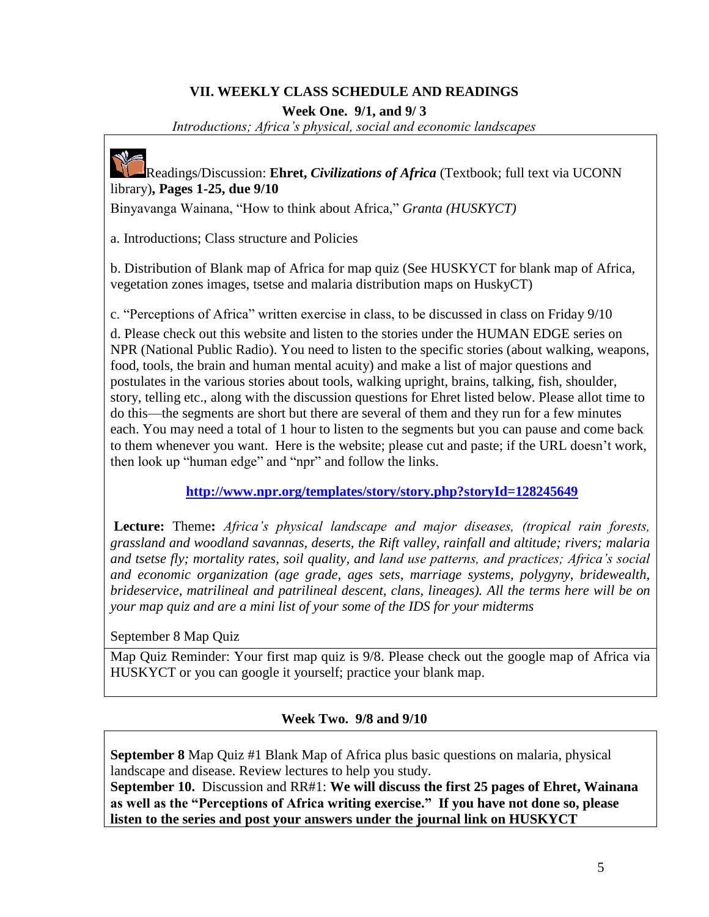# **VII. WEEKLY CLASS SCHEDULE AND READINGS**

**Week One. 9/1, and 9/ 3**

*Introductions; Africa's physical, social and economic landscapes*



Readings/Discussion: **Ehret,** *Civilizations of Africa* (Textbook; full text via UCONN library)**, Pages 1-25, due 9/10**

Binyavanga Wainana, "How to think about Africa," *Granta (HUSKYCT)*

a. Introductions; Class structure and Policies

b. Distribution of Blank map of Africa for map quiz (See HUSKYCT for blank map of Africa, vegetation zones images, tsetse and malaria distribution maps on HuskyCT)

c. "Perceptions of Africa" written exercise in class, to be discussed in class on Friday 9/10

d. Please check out this website and listen to the stories under the HUMAN EDGE series on NPR (National Public Radio). You need to listen to the specific stories (about walking, weapons, food, tools, the brain and human mental acuity) and make a list of major questions and postulates in the various stories about tools, walking upright, brains, talking, fish, shoulder, story, telling etc., along with the discussion questions for Ehret listed below. Please allot time to do this—the segments are short but there are several of them and they run for a few minutes each. You may need a total of 1 hour to listen to the segments but you can pause and come back to them whenever you want. Here is the website; please cut and paste; if the URL doesn't work, then look up "human edge" and "npr" and follow the links.

**<http://www.npr.org/templates/story/story.php?storyId=128245649>**

**Lecture:** Theme**:** *Africa's physical landscape and major diseases, (tropical rain forests, grassland and woodland savannas, deserts, the Rift valley, rainfall and altitude; rivers; malaria and tsetse fly; mortality rates, soil quality, and land use patterns, and practices; Africa's social and economic organization (age grade, ages sets, marriage systems, polygyny, bridewealth, brideservice, matrilineal and patrilineal descent, clans, lineages). All the terms here will be on your map quiz and are a mini list of your some of the IDS for your midterms*

September 8 Map Quiz

Map Quiz Reminder: Your first map quiz is 9/8. Please check out the google map of Africa via HUSKYCT or you can google it yourself; practice your blank map.

**Week Two. 9/8 and 9/10**

**September 8** Map Quiz #1 Blank Map of Africa plus basic questions on malaria, physical landscape and disease. Review lectures to help you study.

**September 10.** Discussion and RR#1: **We will discuss the first 25 pages of Ehret, Wainana as well as the "Perceptions of Africa writing exercise." If you have not done so, please listen to the series and post your answers under the journal link on HUSKYCT**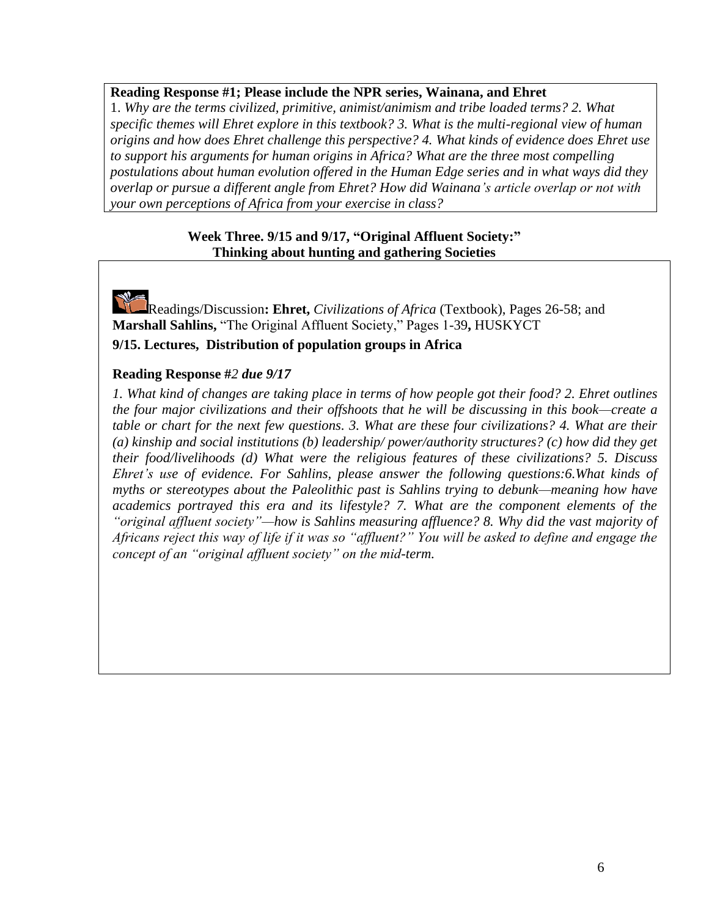## **Reading Response #1; Please include the NPR series, Wainana, and Ehret**

1. *Why are the terms civilized, primitive, animist/animism and tribe loaded terms? 2. What specific themes will Ehret explore in this textbook? 3. What is the multi-regional view of human origins and how does Ehret challenge this perspective? 4. What kinds of evidence does Ehret use to support his arguments for human origins in Africa? What are the three most compelling postulations about human evolution offered in the Human Edge series and in what ways did they overlap or pursue a different angle from Ehret? How did Wainana's article overlap or not with your own perceptions of Africa from your exercise in class?*

## **Week Three. 9/15 and 9/17, "Original Affluent Society:" Thinking about hunting and gathering Societies**

Readings/Discussion**: Ehret,** *Civilizations of Africa* (Textbook), Pages 26-58; and **Marshall Sahlins,** "The Original Affluent Society," Pages 1-39**,** HUSKYCT **9/15. Lectures, Distribution of population groups in Africa**

## **Reading Response #***2 due 9/17*

*1. What kind of changes are taking place in terms of how people got their food? 2. Ehret outlines the four major civilizations and their offshoots that he will be discussing in this book—create a table or chart for the next few questions. 3. What are these four civilizations? 4. What are their (a) kinship and social institutions (b) leadership/ power/authority structures? (c) how did they get their food/livelihoods (d) What were the religious features of these civilizations? 5. Discuss Ehret's use of evidence. For Sahlins, please answer the following questions:6.What kinds of myths or stereotypes about the Paleolithic past is Sahlins trying to debunk—meaning how have academics portrayed this era and its lifestyle? 7. What are the component elements of the "original affluent society"—how is Sahlins measuring affluence? 8. Why did the vast majority of Africans reject this way of life if it was so "affluent?" You will be asked to define and engage the concept of an "original affluent society" on the mid-term.*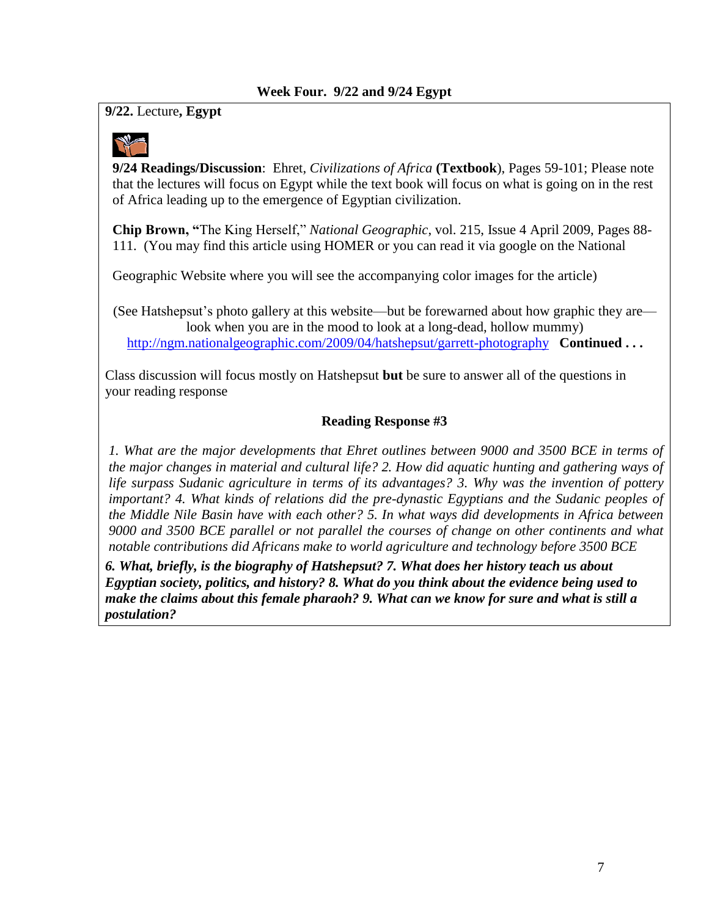# **9/22.** Lecture**, Egypt**



**9/24 Readings/Discussion**: Ehret, *Civilizations of Africa* **(Textbook**), Pages 59-101; Please note that the lectures will focus on Egypt while the text book will focus on what is going on in the rest of Africa leading up to the emergence of Egyptian civilization.

**Chip Brown, "**The King Herself," *National Geographic*, vol. 215, Issue 4 April 2009, Pages 88- 111. (You may find this article using HOMER or you can read it via google on the National

Geographic Website where you will see the accompanying color images for the article)

(See Hatshepsut's photo gallery at this website—but be forewarned about how graphic they are look when you are in the mood to look at a long-dead, hollow mummy) <http://ngm.nationalgeographic.com/2009/04/hatshepsut/garrett-photography>**Continued . . .**

Class discussion will focus mostly on Hatshepsut **but** be sure to answer all of the questions in your reading response

# **Reading Response #3**

*1. What are the major developments that Ehret outlines between 9000 and 3500 BCE in terms of the major changes in material and cultural life? 2. How did aquatic hunting and gathering ways of life surpass Sudanic agriculture in terms of its advantages? 3. Why was the invention of pottery important? 4. What kinds of relations did the pre-dynastic Egyptians and the Sudanic peoples of the Middle Nile Basin have with each other? 5. In what ways did developments in Africa between 9000 and 3500 BCE parallel or not parallel the courses of change on other continents and what notable contributions did Africans make to world agriculture and technology before 3500 BCE* 

*6. What, briefly, is the biography of Hatshepsut? 7. What does her history teach us about Egyptian society, politics, and history? 8. What do you think about the evidence being used to make the claims about this female pharaoh? 9. What can we know for sure and what is still a postulation?*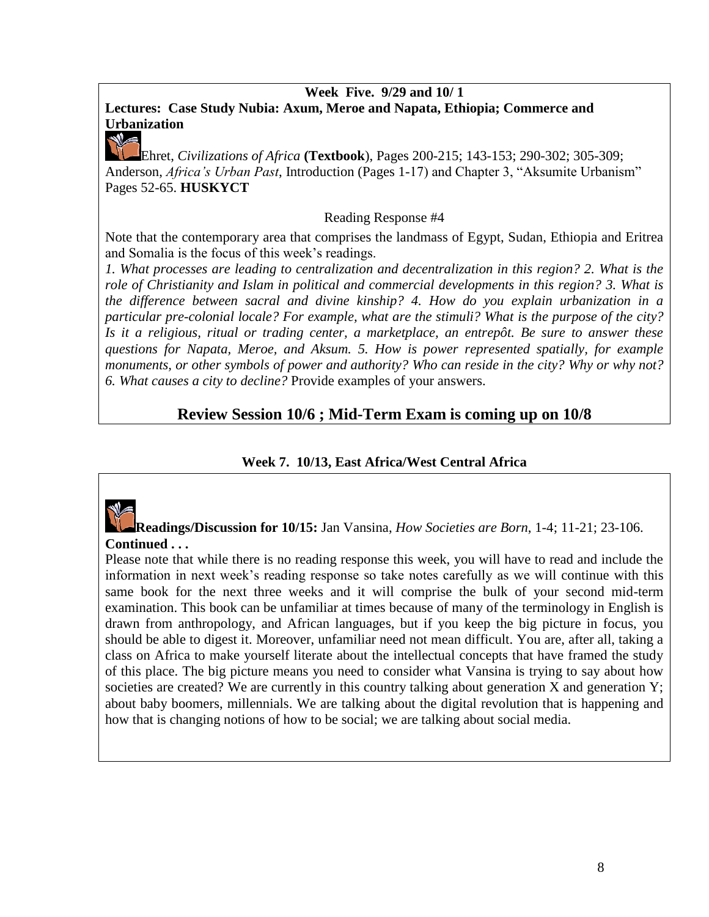## **Week Five. 9/29 and 10/ 1**

# **Lectures:****Case Study Nubia: Axum, Meroe and Napata, Ethiopia; Commerce and Urbanization**

Ehret, *Civilizations of Africa* **(Textbook**), Pages 200-215; 143-153; 290-302; 305-309; Anderson, *Africa's Urban Past*, Introduction (Pages 1-17) and Chapter 3, "Aksumite Urbanism" Pages 52-65. **HUSKYCT**

## Reading Response #4

Note that the contemporary area that comprises the landmass of Egypt, Sudan, Ethiopia and Eritrea and Somalia is the focus of this week's readings.

*1. What processes are leading to centralization and decentralization in this region? 2. What is the role of Christianity and Islam in political and commercial developments in this region? 3. What is the difference between sacral and divine kinship? 4. How do you explain urbanization in a particular pre-colonial locale? For example, what are the stimuli? What is the purpose of the city? Is it a religious, ritual or trading center, a marketplace, an entrepôt. Be sure to answer these questions for Napata, Meroe, and Aksum. 5. How is power represented spatially, for example monuments, or other symbols of power and authority? Who can reside in the city? Why or why not? 6. What causes a city to decline?* Provide examples of your answers.

# **Review Session 10/6 ; Mid-Term Exam is coming up on 10/8**

# **Week 7. 10/13, East Africa/West Central Africa**



**Readings/Discussion for 10/15:** Jan Vansina, *How Societies are Born*, 1-4; 11-21; 23-106. **Continued . . .**

Please note that while there is no reading response this week, you will have to read and include the information in next week's reading response so take notes carefully as we will continue with this same book for the next three weeks and it will comprise the bulk of your second mid-term examination. This book can be unfamiliar at times because of many of the terminology in English is drawn from anthropology, and African languages, but if you keep the big picture in focus, you should be able to digest it. Moreover, unfamiliar need not mean difficult. You are, after all, taking a class on Africa to make yourself literate about the intellectual concepts that have framed the study of this place. The big picture means you need to consider what Vansina is trying to say about how societies are created? We are currently in this country talking about generation X and generation Y; about baby boomers, millennials. We are talking about the digital revolution that is happening and how that is changing notions of how to be social; we are talking about social media.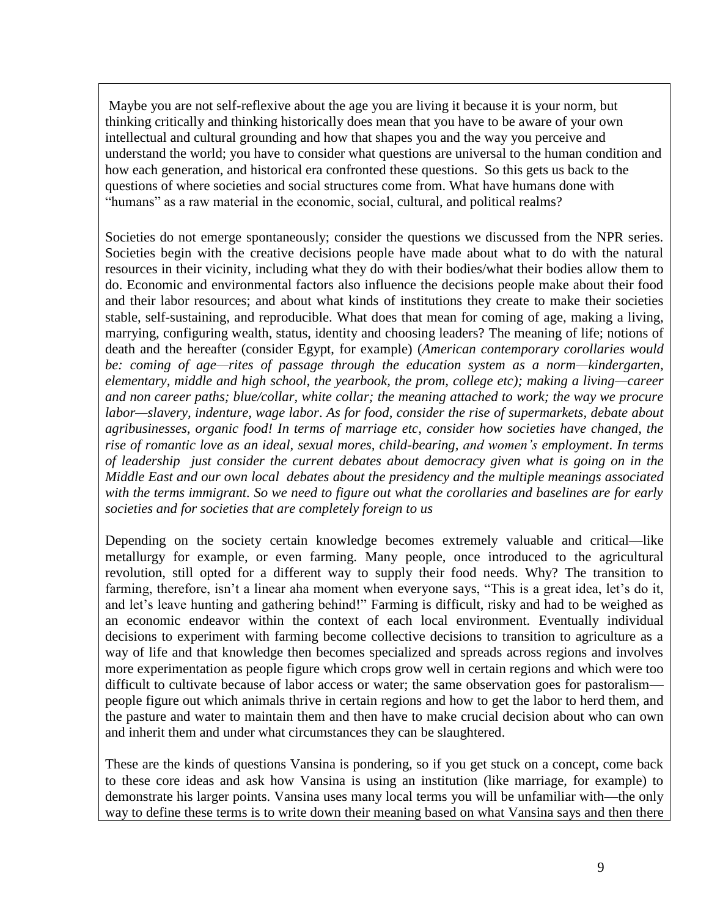Maybe you are not self-reflexive about the age you are living it because it is your norm, but thinking critically and thinking historically does mean that you have to be aware of your own intellectual and cultural grounding and how that shapes you and the way you perceive and understand the world; you have to consider what questions are universal to the human condition and how each generation, and historical era confronted these questions. So this gets us back to the questions of where societies and social structures come from. What have humans done with "humans" as a raw material in the economic, social, cultural, and political realms?

Societies do not emerge spontaneously; consider the questions we discussed from the NPR series. Societies begin with the creative decisions people have made about what to do with the natural resources in their vicinity, including what they do with their bodies/what their bodies allow them to do. Economic and environmental factors also influence the decisions people make about their food and their labor resources; and about what kinds of institutions they create to make their societies stable, self-sustaining, and reproducible. What does that mean for coming of age, making a living, marrying, configuring wealth, status, identity and choosing leaders? The meaning of life; notions of death and the hereafter (consider Egypt, for example) (*American contemporary corollaries would be: coming of age—rites of passage through the education system as a norm—kindergarten, elementary, middle and high school, the yearbook, the prom, college etc); making a living—career and non career paths; blue/collar, white collar; the meaning attached to work; the way we procure labor—slavery, indenture, wage labor*. *As for food, consider the rise of supermarkets, debate about agribusinesses, organic food! In terms of marriage etc, consider how societies have changed, the rise of romantic love as an ideal, sexual mores, child-bearing, and women's employment*. *In terms of leadership just consider the current debates about democracy given what is going on in the Middle East and our own local debates about the presidency and the multiple meanings associated with the terms immigrant. So we need to figure out what the corollaries and baselines are for early societies and for societies that are completely foreign to us*

Depending on the society certain knowledge becomes extremely valuable and critical—like metallurgy for example, or even farming. Many people, once introduced to the agricultural revolution, still opted for a different way to supply their food needs. Why? The transition to farming, therefore, isn't a linear aha moment when everyone says, "This is a great idea, let's do it, and let's leave hunting and gathering behind!" Farming is difficult, risky and had to be weighed as an economic endeavor within the context of each local environment. Eventually individual decisions to experiment with farming become collective decisions to transition to agriculture as a way of life and that knowledge then becomes specialized and spreads across regions and involves more experimentation as people figure which crops grow well in certain regions and which were too difficult to cultivate because of labor access or water; the same observation goes for pastoralismpeople figure out which animals thrive in certain regions and how to get the labor to herd them, and the pasture and water to maintain them and then have to make crucial decision about who can own and inherit them and under what circumstances they can be slaughtered.

These are the kinds of questions Vansina is pondering, so if you get stuck on a concept, come back to these core ideas and ask how Vansina is using an institution (like marriage, for example) to demonstrate his larger points. Vansina uses many local terms you will be unfamiliar with—the only way to define these terms is to write down their meaning based on what Vansina says and then there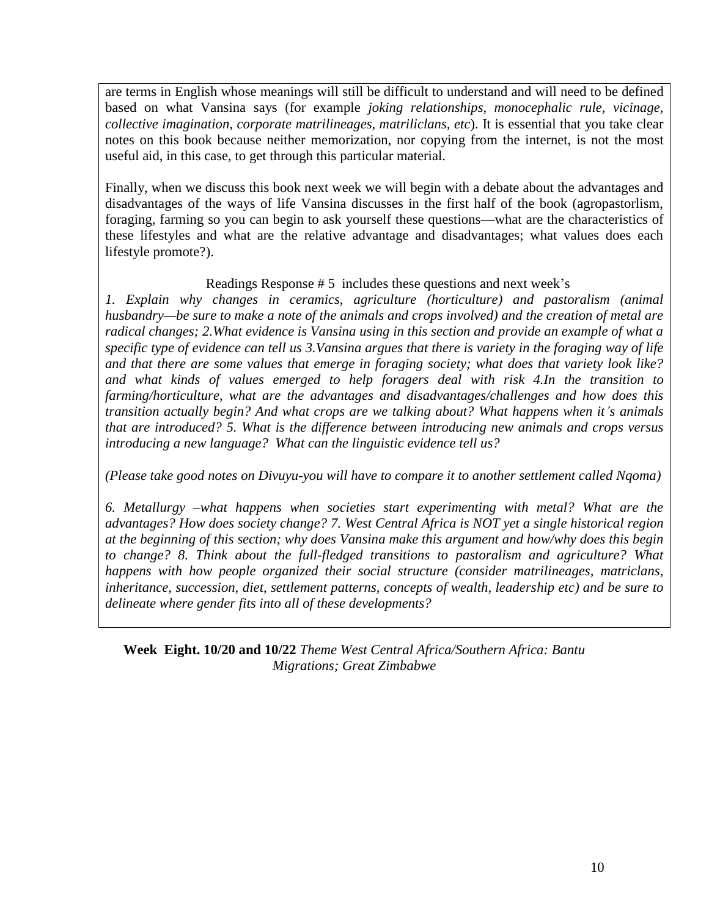are terms in English whose meanings will still be difficult to understand and will need to be defined based on what Vansina says (for example *joking relationships, monocephalic rule, vicinage, collective imagination, corporate matrilineages, matriliclans, etc*). It is essential that you take clear notes on this book because neither memorization, nor copying from the internet, is not the most useful aid, in this case, to get through this particular material.

Finally, when we discuss this book next week we will begin with a debate about the advantages and disadvantages of the ways of life Vansina discusses in the first half of the book (agropastorlism, foraging, farming so you can begin to ask yourself these questions—what are the characteristics of these lifestyles and what are the relative advantage and disadvantages; what values does each lifestyle promote?).

## Readings Response # 5 includes these questions and next week's

*1. Explain why changes in ceramics, agriculture (horticulture) and pastoralism (animal husbandry—be sure to make a note of the animals and crops involved) and the creation of metal are radical changes; 2.What evidence is Vansina using in this section and provide an example of what a specific type of evidence can tell us 3.Vansina argues that there is variety in the foraging way of life and that there are some values that emerge in foraging society; what does that variety look like? and what kinds of values emerged to help foragers deal with risk 4.In the transition to farming/horticulture, what are the advantages and disadvantages/challenges and how does this transition actually begin? And what crops are we talking about? What happens when it's animals that are introduced? 5. What is the difference between introducing new animals and crops versus introducing a new language? What can the linguistic evidence tell us?*

*(Please take good notes on Divuyu-you will have to compare it to another settlement called Nqoma)*

*6. Metallurgy –what happens when societies start experimenting with metal? What are the advantages? How does society change? 7. West Central Africa is NOT yet a single historical region at the beginning of this section; why does Vansina make this argument and how/why does this begin to change? 8. Think about the full-fledged transitions to pastoralism and agriculture? What happens with how people organized their social structure (consider matrilineages, matriclans, inheritance, succession, diet, settlement patterns, concepts of wealth, leadership etc) and be sure to delineate where gender fits into all of these developments?*

**Week Eight. 10/20 and 10/22** *Theme West Central Africa/Southern Africa: Bantu Migrations; Great Zimbabwe*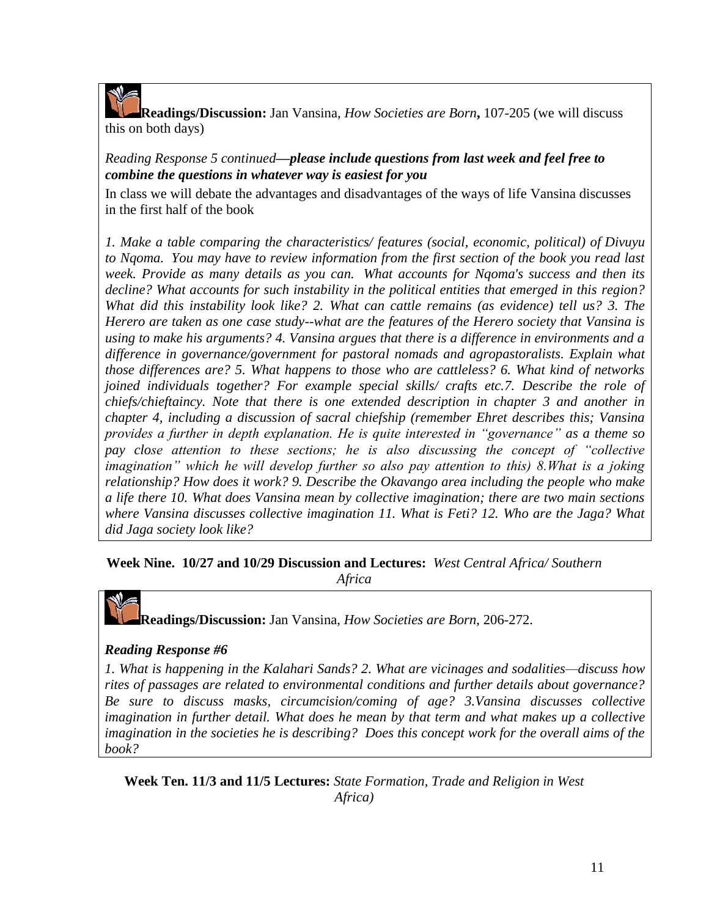

**Readings/Discussion:** Jan Vansina, *How Societies are Born***,** 107-205 (we will discuss this on both days)

# *Reading Response 5 continued—please include questions from last week and feel free to combine the questions in whatever way is easiest for you*

In class we will debate the advantages and disadvantages of the ways of life Vansina discusses in the first half of the book

*1. Make a table comparing the characteristics/ features (social, economic, political) of Divuyu to Nqoma. You may have to review information from the first section of the book you read last week. Provide as many details as you can. What accounts for Nqoma's success and then its decline? What accounts for such instability in the political entities that emerged in this region? What did this instability look like? 2. What can cattle remains (as evidence) tell us? 3. The Herero are taken as one case study--what are the features of the Herero society that Vansina is using to make his arguments? 4. Vansina argues that there is a difference in environments and a difference in governance/government for pastoral nomads and agropastoralists. Explain what those differences are? 5. What happens to those who are cattleless? 6. What kind of networks joined individuals together? For example special skills/ crafts etc.7. Describe the role of chiefs/chieftaincy. Note that there is one extended description in chapter 3 and another in chapter 4, including a discussion of sacral chiefship (remember Ehret describes this; Vansina provides a further in depth explanation. He is quite interested in "governance" as a theme so pay close attention to these sections; he is also discussing the concept of "collective imagination" which he will develop further so also pay attention to this) 8.What is a joking relationship? How does it work? 9. Describe the Okavango area including the people who make a life there 10. What does Vansina mean by collective imagination; there are two main sections where Vansina discusses collective imagination 11. What is Feti? 12. Who are the Jaga? What did Jaga society look like?*

# **Week Nine. 10/27 and 10/29 Discussion and Lectures:** *West Central Africa/ Southern*

*Africa*

**Readings/Discussion:** Jan Vansina, *How Societies are Born*, 206-272.

## *Reading Response #6*

*1. What is happening in the Kalahari Sands? 2. What are vicinages and sodalities—discuss how rites of passages are related to environmental conditions and further details about governance? Be sure to discuss masks, circumcision/coming of age? 3.Vansina discusses collective imagination in further detail. What does he mean by that term and what makes up a collective imagination in the societies he is describing? Does this concept work for the overall aims of the book?*

**Week Ten. 11/3 and 11/5 Lectures:** *State Formation, Trade and Religion in West Africa)*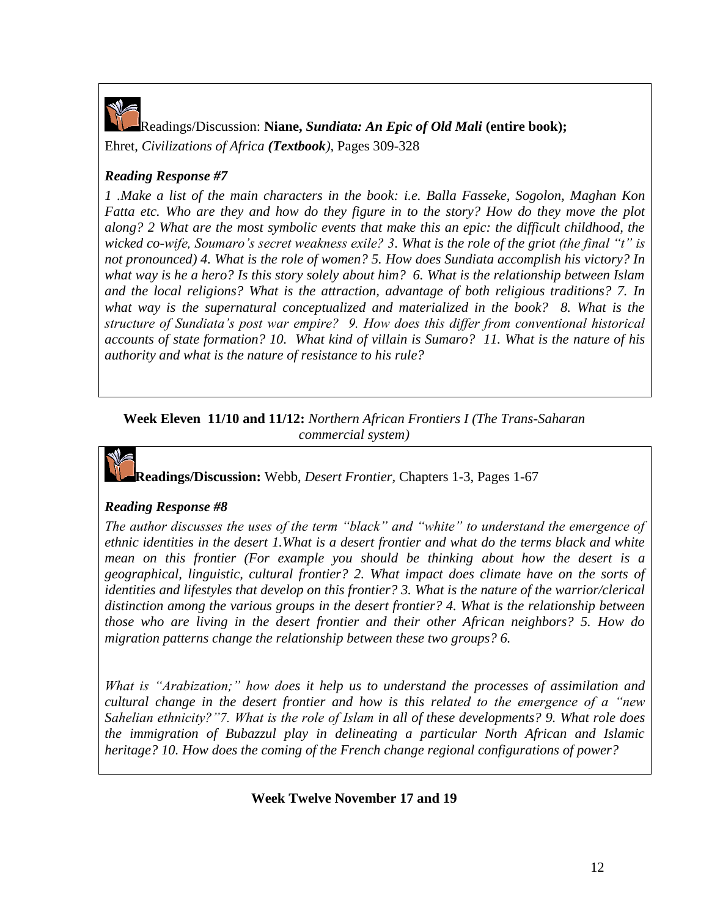

Readings/Discussion: **Niane,** *Sundiata: An Epic of Old Mali* **(entire book);** Ehret, *Civilizations of Africa (Textbook),* Pages 309-328

# *Reading Response #7*

*1 .Make a list of the main characters in the book: i.e. Balla Fasseke, Sogolon, Maghan Kon Fatta etc. Who are they and how do they figure in to the story? How do they move the plot along? 2 What are the most symbolic events that make this an epic: the difficult childhood, the wicked co-wife, Soumaro's secret weakness exile? 3. What is the role of the griot (the final "t" is not pronounced) 4. What is the role of women? 5. How does Sundiata accomplish his victory? In what way is he a hero? Is this story solely about him? 6. What is the relationship between Islam and the local religions? What is the attraction, advantage of both religious traditions? 7. In what way is the supernatural conceptualized and materialized in the book? 8. What is the structure of Sundiata's post war empire? 9. How does this differ from conventional historical accounts of state formation? 10. What kind of villain is Sumaro? 11. What is the nature of his authority and what is the nature of resistance to his rule?*

**Week Eleven 11/10 and 11/12:** *Northern African Frontiers I (The Trans-Saharan commercial system)*

# **Readings/Discussion:** Webb, *Desert Frontier,* Chapters 1-3, Pages 1-67

## *Reading Response #8*

*The author discusses the uses of the term "black" and "white" to understand the emergence of ethnic identities in the desert 1.What is a desert frontier and what do the terms black and white mean on this frontier (For example you should be thinking about how the desert is a geographical, linguistic, cultural frontier? 2. What impact does climate have on the sorts of identities and lifestyles that develop on this frontier? 3. What is the nature of the warrior/clerical distinction among the various groups in the desert frontier? 4. What is the relationship between those who are living in the desert frontier and their other African neighbors? 5. How do migration patterns change the relationship between these two groups? 6.*

*What is "Arabization;" how does it help us to understand the processes of assimilation and cultural change in the desert frontier and how is this related to the emergence of a "new Sahelian ethnicity?"7. What is the role of Islam in all of these developments? 9. What role does the immigration of Bubazzul play in delineating a particular North African and Islamic heritage? 10. How does the coming of the French change regional configurations of power?*

**Week Twelve November 17 and 19**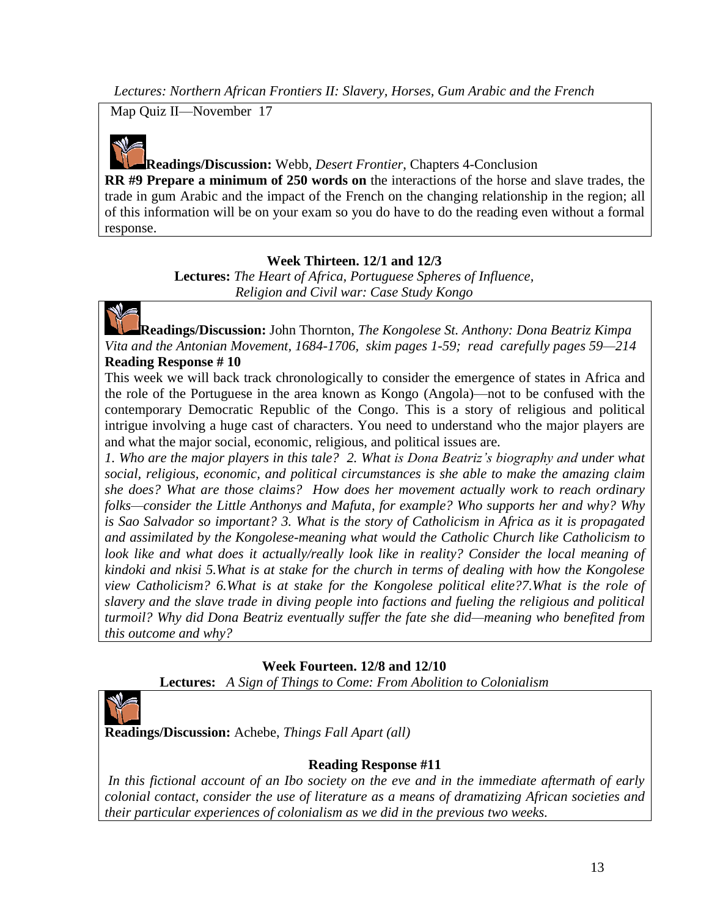*Lectures: Northern African Frontiers II: Slavery, Horses, Gum Arabic and the French*

Map Quiz II—November 17



# **Readings/Discussion:** Webb, *Desert Frontier*, Chapters 4-Conclusion

**RR #9 Prepare a minimum of 250 words on** the interactions of the horse and slave trades, the trade in gum Arabic and the impact of the French on the changing relationship in the region; all of this information will be on your exam so you do have to do the reading even without a formal response.

# **Week Thirteen. 12/1 and 12/3**

**Lectures:** *The Heart of Africa, Portuguese Spheres of Influence, Religion and Civil war: Case Study Kongo*



**Readings/Discussion:** John Thornton, *The Kongolese St. Anthony: Dona Beatriz Kimpa Vita and the Antonian Movement, 1684-1706, skim pages 1-59; read carefully pages 59—214* **Reading Response # 10**

This week we will back track chronologically to consider the emergence of states in Africa and the role of the Portuguese in the area known as Kongo (Angola)—not to be confused with the contemporary Democratic Republic of the Congo. This is a story of religious and political intrigue involving a huge cast of characters. You need to understand who the major players are and what the major social, economic, religious, and political issues are.

*1. Who are the major players in this tale? 2. What is Dona Beatriz's biography and under what social, religious, economic, and political circumstances is she able to make the amazing claim she does? What are those claims? How does her movement actually work to reach ordinary folks—consider the Little Anthonys and Mafuta, for example? Who supports her and why? Why is Sao Salvador so important? 3. What is the story of Catholicism in Africa as it is propagated and assimilated by the Kongolese-meaning what would the Catholic Church like Catholicism to*  look like and what does it actually/really look like in reality? Consider the local meaning of *kindoki and nkisi 5.What is at stake for the church in terms of dealing with how the Kongolese view Catholicism? 6.What is at stake for the Kongolese political elite?7.What is the role of slavery and the slave trade in diving people into factions and fueling the religious and political turmoil? Why did Dona Beatriz eventually suffer the fate she did—meaning who benefited from this outcome and why?*

# **Week Fourteen. 12/8 and 12/10**

**Lectures:** *A Sign of Things to Come: From Abolition to Colonialism*



**Readings/Discussion:** Achebe, *Things Fall Apart (all)*

# **Reading Response #11**

*In this fictional account of an Ibo society on the eve and in the immediate aftermath of early colonial contact, consider the use of literature as a means of dramatizing African societies and their particular experiences of colonialism as we did in the previous two weeks.*